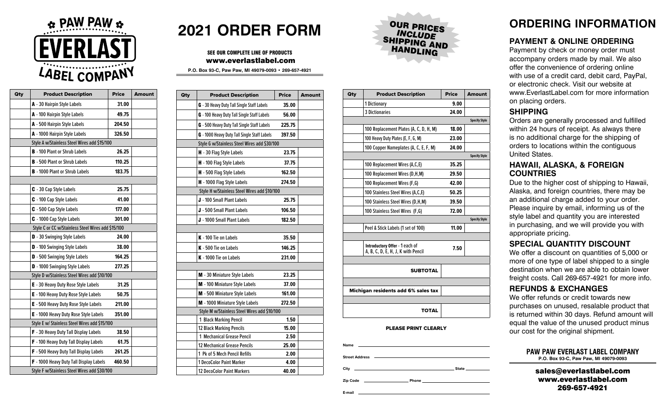

| Qty | <b>Product Description</b>                         | <b>Price</b> | <b>Amount</b> |
|-----|----------------------------------------------------|--------------|---------------|
|     | A - 30 Hairpin Style Labels                        | 31.00        |               |
|     | A - 100 Hairpin Style Labels                       | 49.75        |               |
|     | A - 500 Hairpin Style Labels                       | 204.50       |               |
|     | A - 1000 Hairpin Style Labels                      | 326.50       |               |
|     | Style A w/Stainless Steel Wires add \$15/100       |              |               |
|     | <b>B</b> - 100 Plant or Shrub Labels               | 26.25        |               |
|     | <b>B</b> - 500 Plant or Shrub Labels               | 110.25       |               |
|     | <b>B</b> - 1000 Plant or Shrub Labels              | 183.75       |               |
|     |                                                    |              |               |
|     | <b>C</b> - 30 Cap Style Labels                     | 25.75        |               |
|     | C - 100 Cap Style Labels                           | 41.00        |               |
|     | C - 500 Cap Style Labels                           | 177.00       |               |
|     | C - 1000 Cap Style Labels                          | 301.00       |               |
|     | Style C or CC w/Stainless Steel Wires add \$15/100 |              |               |
|     | <b>D</b> - 30 Swinging Style Labels                | 24.00        |               |
|     | D - 100 Swinging Style Labels                      | 38.00        |               |
|     | D - 500 Swinging Style Labels                      | 164.25       |               |
|     | D - 1000 Swinging Style Labels                     | 277.25       |               |
|     | Style D w/Stainless Steel Wires add \$10/100       |              |               |
|     | <b>E</b> - 30 Heavy Duty Rose Style Labels         | 31.25        |               |
|     | E - 100 Heavy Duty Rose Style Labels               | 50.75        |               |
|     | E - 500 Heavy Duty Rose Style Labels               | 211.00       |               |
|     | E - 1000 Heavy Duty Rose Style Labels              | 351.00       |               |
|     | Style E w/ Stainless Steel Wires add \$15/100      |              |               |
|     | F - 30 Heavy Duty Tall Display Labels              | 38.50        |               |
|     | <b>F</b> - 100 Heavy Duty Tall Display Labels      | 61.75        |               |
|     | F - 500 Heavy Duty Tall Display Labels             | 261.25       |               |
|     | F - 1000 Heavy Duty Tall Display Labels            | 460.50       |               |
|     | Style F w/Stainless Steel Wires add \$30/100       |              |               |

## **2021 ORDER FORM**

#### SEE OUR COMPLETE LINE OF PRODUCTS www.everlastlabel.com

**P.O. Box 93-C, Paw Paw, MI 49079-0093 • 269-657-4921**

| Qty | <b>Product Description</b>                   | <b>Price</b> | <b>Amount</b> |
|-----|----------------------------------------------|--------------|---------------|
|     | G - 30 Heavy Duty Tall Single Staff Labels   | 35.00        |               |
|     | G - 100 Heavy Duty Tall Single Staff Labels  | 56.00        |               |
|     | G - 500 Heavy Duty Tall Single Staff Labels  | 225.75       |               |
|     | G - 1000 Heavy Duty Tall Single Staff Labels | 397.50       |               |
|     | Style G w/Stainless Steel Wires add \$30/100 |              |               |
|     | H - 30 Flag Style Labels                     | 23.75        |               |
|     | H - 100 Flag Style Labels                    | 37.75        |               |
|     | H - 500 Flag Style Labels                    | 162.50       |               |
|     | H - 1000 Flag Style Labels                   | 274.50       |               |
|     | Style H w/Stainless Steel Wires add \$10/100 |              |               |
|     | J - 100 Small Plant Labels                   | 25.75        |               |
|     | J - 500 Small Plant Labels                   | 106.50       |               |
|     | J - 1000 Small Plant Labels                  | 182.50       |               |
|     |                                              |              |               |
|     | K - 100 Tie on Labels                        | 35.50        |               |
|     | K - 500 Tie on Labels                        | 146.25       |               |
|     | K - 1000 Tie on Labels                       | 231.00       |               |
|     |                                              |              |               |
|     | M - 30 Miniature Style Labels                | 23.25        |               |
|     | M - 100 Miniature Style Labels               | 37.00        |               |
|     | M - 500 Miniature Style Labels               | 161.00       |               |
|     | M - 1000 Miniature Style Labels              | 272.50       |               |
|     | Style M w/Stainless Steel Wires add \$10/100 |              |               |
|     | 1 Black Marking Pencil                       | 1.50         |               |
|     | <b>12 Black Marking Pencils</b>              | 15.00        |               |
|     | 1 Mechanical Grease Pencil                   | 2.50         |               |
|     | <b>12 Mechanical Grease Pencils</b>          | 25.00        |               |
|     | 1 Pk of 5 Mech Pencil Refills                | 2.00         |               |
|     | 1 DecoColor Paint Marker                     | 4.00         |               |
|     | 12 DecoColor Paint Markers                   | 40.00        |               |



| Qty | <b>Product Description</b>                                           | <b>Price</b> | <b>Amount</b>        |
|-----|----------------------------------------------------------------------|--------------|----------------------|
|     | 1 Dictionary                                                         | 9.00         |                      |
|     | <b>3 Dictionaries</b>                                                | 24.00        |                      |
|     |                                                                      |              | <b>Specify Style</b> |
|     | 100 Replacement Plates (A, C, D, H, M)                               | 18.00        |                      |
|     | 100 Heavy Duty Plates (E, F, G, M)                                   | 23.00        |                      |
|     | 100 Copper Nameplates (A, C, E, F, M)                                | 24.00        |                      |
|     |                                                                      |              | <b>Specify Style</b> |
|     | 100 Replacement Wires (A,C,E)                                        | 35.25        |                      |
|     | 100 Replacement Wires (D,H,M)                                        | 29.50        |                      |
|     | 100 Replacement Wires (F,G)                                          | 42.00        |                      |
|     | 100 Stainless Steel Wires (A,C,E)                                    | 50.25        |                      |
|     | 100 Stainless Steel Wires (D.H.M)                                    | 39.50        |                      |
|     | 100 Stainless Steel Wires (F,G)                                      | 72.00        |                      |
|     |                                                                      |              | <b>Specify Style</b> |
|     | Peel & Stick Labels (1 set of 100)                                   | 11.00        |                      |
|     |                                                                      |              |                      |
|     | Introductory Offer - 1 each of<br>A, B, C, D, E, H, J, K with Pencil | 7.50         |                      |
|     |                                                                      |              |                      |
|     | <b>SUBTOTAL</b>                                                      |              |                      |
|     |                                                                      |              |                      |
|     | Michigan residents add 6% sales tax                                  |              |                      |
|     |                                                                      |              |                      |
|     | <b>TOTAL</b>                                                         |              |                      |

#### PLEASE PRINT CLEARLY

| <b>Name</b>           |                                                                                 |                                                                                                                                                                                                                                    |
|-----------------------|---------------------------------------------------------------------------------|------------------------------------------------------------------------------------------------------------------------------------------------------------------------------------------------------------------------------------|
| <b>Street Address</b> | the contract of the contract of the contract of the contract of the contract of |                                                                                                                                                                                                                                    |
| City                  |                                                                                 | State ________                                                                                                                                                                                                                     |
| <b>Zip Code</b>       |                                                                                 | <b>Phone Contract Contract Contract Contract Contract Contract Contract Contract Contract Contract Contract Contract Contract Contract Contract Contract Contract Contract Contract Contract Contract Contract Contract Contra</b> |

**E-mail**

### **ORDERING INFORMATION**

#### **PAYMENT & ONLINE ORDERING**

Payment by check or money order must accompany orders made by mail. We also offer the convenience of ordering online with use of a credit card, debit card, PayPal, or electronic check. Visit our website at www.EverlastLabel.com for more information on placing orders.

#### **SHIPPING**

Orders are generally processed and fulfilled within 24 hours of receipt. As always there is no additional charge for the shipping of orders to locations within the contiguous United States.

#### **HAWAII, ALASKA, & FOREIGN COUNTRIES**

Due to the higher cost of shipping to Hawaii, Alaska, and foreign countries, there may be an additional charge added to your order. Please inquire by email, informing us of the style label and quantity you are interested in purchasing, and we will provide you with appropriate pricing.

#### **SPECIAL QUANTITY DISCOUNT**

We offer a discount on quantities of 5,000 or more of one type of label shipped to a single destination when we are able to obtain lower freight costs. Call 269-657-4921 for more info.

#### **REFUNDS & EXCHANGES**

We offer refunds or credit towards new purchases on unused, resalable product that is returned within 30 days. Refund amount will equal the value of the unused product minus our cost for the original shipment.

| <b>PAW PAW EVERLAST LABEL COMPANY</b> |  |
|---------------------------------------|--|
| P.O. Box 93-C, Paw Paw, MI 49079-0093 |  |

sales@everlastlabel.com www.everlastlabel.com 269-657-4921